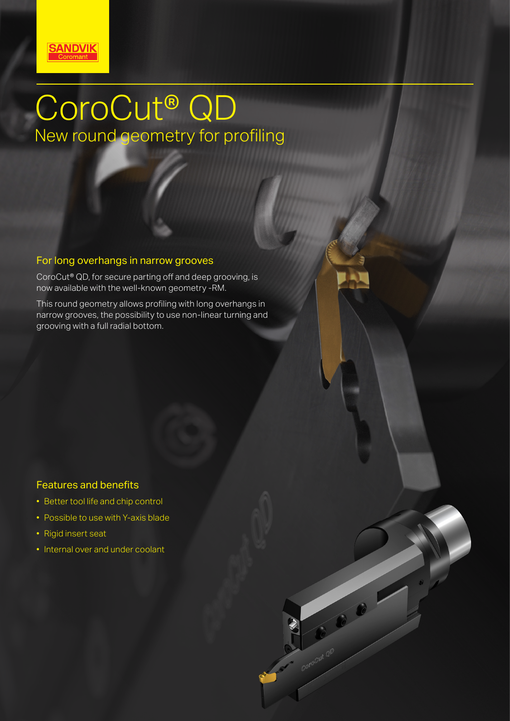

# CoroCut® QD New round geometry for profiling

#### For long overhangs in narrow grooves

CoroCut® QD, for secure parting off and deep grooving, is now available with the well-known geometry -RM.

This round geometry allows profiling with long overhangs in narrow grooves, the possibility to use non-linear turning and grooving with a full radial bottom.

NO BI

Conocut QD

# Features and benefits

- Better tool life and chip control
- Possible to use with Y-axis blade
- Rigid insert seat
- Internal over and under coolant